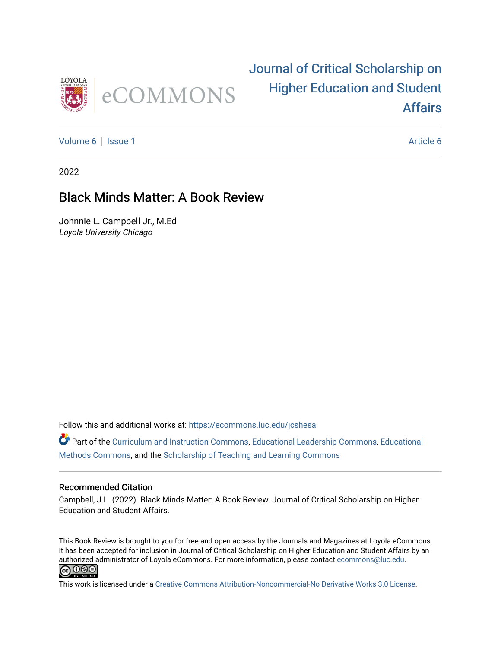

## [Journal of Critical Scholarship on](https://ecommons.luc.edu/jcshesa)  [Higher Education and Student](https://ecommons.luc.edu/jcshesa)  [Affairs](https://ecommons.luc.edu/jcshesa)

[Volume 6](https://ecommons.luc.edu/jcshesa/vol6) | [Issue 1](https://ecommons.luc.edu/jcshesa/vol6/iss1) [Article 6](https://ecommons.luc.edu/jcshesa/vol6/iss1/6) | Issue 1 Article 6 | Issue 1 Article 6 | Issue 1 Article 6 | Issue 1 Article 6 |

2022

### Black Minds Matter: A Book Review

Johnnie L. Campbell Jr., M.Ed Loyola University Chicago

Follow this and additional works at: [https://ecommons.luc.edu/jcshesa](https://ecommons.luc.edu/jcshesa?utm_source=ecommons.luc.edu%2Fjcshesa%2Fvol6%2Fiss1%2F6&utm_medium=PDF&utm_campaign=PDFCoverPages) 

Part of the [Curriculum and Instruction Commons,](https://network.bepress.com/hgg/discipline/786?utm_source=ecommons.luc.edu%2Fjcshesa%2Fvol6%2Fiss1%2F6&utm_medium=PDF&utm_campaign=PDFCoverPages) [Educational Leadership Commons,](https://network.bepress.com/hgg/discipline/1230?utm_source=ecommons.luc.edu%2Fjcshesa%2Fvol6%2Fiss1%2F6&utm_medium=PDF&utm_campaign=PDFCoverPages) [Educational](https://network.bepress.com/hgg/discipline/1227?utm_source=ecommons.luc.edu%2Fjcshesa%2Fvol6%2Fiss1%2F6&utm_medium=PDF&utm_campaign=PDFCoverPages) [Methods Commons,](https://network.bepress.com/hgg/discipline/1227?utm_source=ecommons.luc.edu%2Fjcshesa%2Fvol6%2Fiss1%2F6&utm_medium=PDF&utm_campaign=PDFCoverPages) and the [Scholarship of Teaching and Learning Commons](https://network.bepress.com/hgg/discipline/1328?utm_source=ecommons.luc.edu%2Fjcshesa%2Fvol6%2Fiss1%2F6&utm_medium=PDF&utm_campaign=PDFCoverPages) 

#### Recommended Citation

Campbell, J.L. (2022). Black Minds Matter: A Book Review. Journal of Critical Scholarship on Higher Education and Student Affairs.

This Book Review is brought to you for free and open access by the Journals and Magazines at Loyola eCommons. It has been accepted for inclusion in Journal of Critical Scholarship on Higher Education and Student Affairs by an authorized administrator of Loyola eCommons. For more information, please contact [ecommons@luc.edu](mailto:ecommons@luc.edu). **@** 0ெ

This work is licensed under a [Creative Commons Attribution-Noncommercial-No Derivative Works 3.0 License.](https://creativecommons.org/licenses/by-nc-nd/3.0/)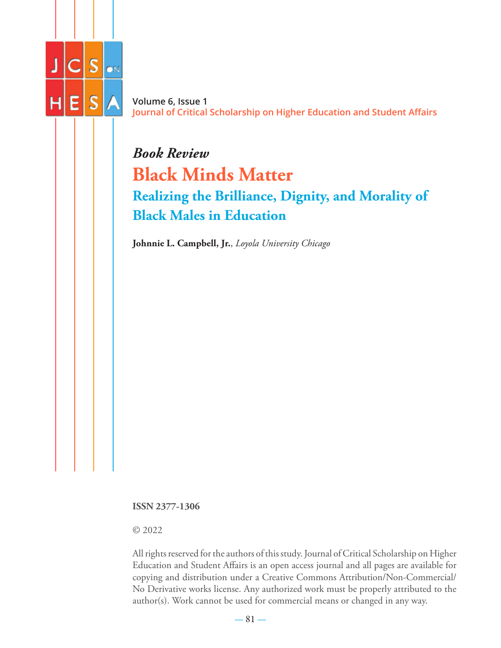

**Volume 6, Issue 1 Journal of Critical Scholarship on Higher Education and Student Affairs**

# *Book Review* **Black Minds Matter Realizing the Brilliance, Dignity, and Morality of Black Males in Education**

**Johnnie L. Campbell, Jr.**, *Loyola University Chicago*

**ISSN 2377-1306**

© 2022

All rights reserved for the authors of this study. Journal of Critical Scholarship on Higher Education and Student Affairs is an open access journal and all pages are available for copying and distribution under a Creative Commons Attribution/Non-Commercial/ No Derivative works license. Any authorized work must be properly attributed to the author(s). Work cannot be used for commercial means or changed in any way.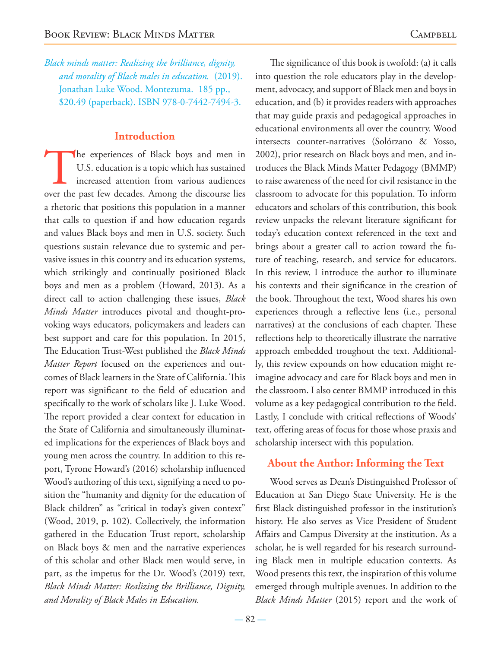*Black minds matter: Realizing the brilliance, dignity, and morality of Black males in education.* (2019). Jonathan Luke Wood. Montezuma. 185 pp., \$20.49 (paperback). ISBN 978-0-7442-7494-3.

#### **Introduction**

The experiences of Black boys and men in U.S. education is a topic which has sustained increased attention from various audiences over the past few decades. Among the discourse lies U.S. education is a topic which has sustained increased attention from various audiences a rhetoric that positions this population in a manner that calls to question if and how education regards and values Black boys and men in U.S. society. Such questions sustain relevance due to systemic and pervasive issues in this country and its education systems, which strikingly and continually positioned Black boys and men as a problem (Howard, 2013). As a direct call to action challenging these issues, *Black Minds Matter* introduces pivotal and thought-provoking ways educators, policymakers and leaders can best support and care for this population. In 2015, The Education Trust-West published the *Black Minds Matter Report* focused on the experiences and outcomes of Black learners in the State of California. This report was significant to the field of education and specifically to the work of scholars like J. Luke Wood. The report provided a clear context for education in the State of California and simultaneously illuminated implications for the experiences of Black boys and young men across the country. In addition to this report, Tyrone Howard's (2016) scholarship influenced Wood's authoring of this text, signifying a need to position the "humanity and dignity for the education of Black children" as "critical in today's given context" (Wood, 2019, p. 102). Collectively, the information gathered in the Education Trust report, scholarship on Black boys & men and the narrative experiences of this scholar and other Black men would serve, in part, as the impetus for the Dr. Wood's (2019) text*, Black Minds Matter: Realizing the Brilliance, Dignity, and Morality of Black Males in Education.* 

The significance of this book is twofold: (a) it calls into question the role educators play in the development, advocacy, and support of Black men and boys in education, and (b) it provides readers with approaches that may guide praxis and pedagogical approaches in educational environments all over the country. Wood intersects counter-narratives (Solórzano & Yosso, 2002), prior research on Black boys and men, and introduces the Black Minds Matter Pedagogy (BMMP) to raise awareness of the need for civil resistance in the classroom to advocate for this population. To inform educators and scholars of this contribution, this book review unpacks the relevant literature significant for today's education context referenced in the text and brings about a greater call to action toward the future of teaching, research, and service for educators. In this review, I introduce the author to illuminate his contexts and their significance in the creation of the book. Throughout the text, Wood shares his own experiences through a reflective lens (i.e., personal narratives) at the conclusions of each chapter. These reflections help to theoretically illustrate the narrative approach embedded troughout the text. Additionally, this review expounds on how education might reimagine advocacy and care for Black boys and men in the classroom. I also center BMMP introduced in this volume as a key pedagogical contribution to the field. Lastly, I conclude with critical reflections of Woods' text, offering areas of focus for those whose praxis and scholarship intersect with this population.

#### **About the Author: Informing the Text**

Wood serves as Dean's Distinguished Professor of Education at San Diego State University. He is the first Black distinguished professor in the institution's history. He also serves as Vice President of Student Affairs and Campus Diversity at the institution. As a scholar, he is well regarded for his research surrounding Black men in multiple education contexts. As Wood presents this text, the inspiration of this volume emerged through multiple avenues. In addition to the *Black Minds Matter* (2015) report and the work of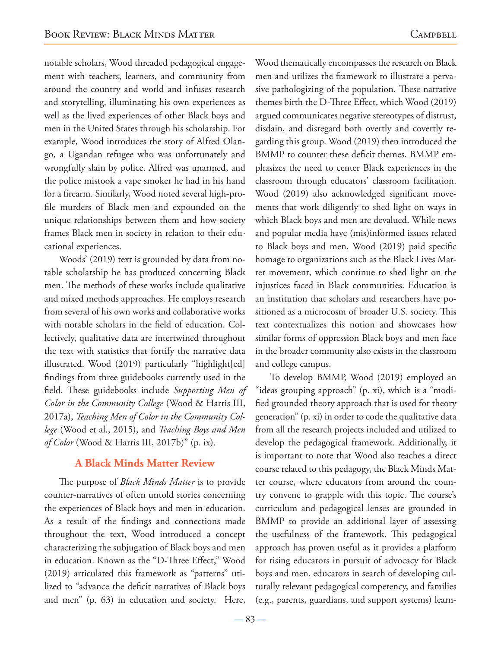notable scholars, Wood threaded pedagogical engagement with teachers, learners, and community from around the country and world and infuses research and storytelling, illuminating his own experiences as well as the lived experiences of other Black boys and men in the United States through his scholarship. For example, Wood introduces the story of Alfred Olango, a Ugandan refugee who was unfortunately and wrongfully slain by police. Alfred was unarmed, and the police mistook a vape smoker he had in his hand for a firearm. Similarly, Wood noted several high-profile murders of Black men and expounded on the unique relationships between them and how society frames Black men in society in relation to their educational experiences.

Woods' (2019) text is grounded by data from notable scholarship he has produced concerning Black men. The methods of these works include qualitative and mixed methods approaches. He employs research from several of his own works and collaborative works with notable scholars in the field of education. Collectively, qualitative data are intertwined throughout the text with statistics that fortify the narrative data illustrated. Wood (2019) particularly "highlight[ed] findings from three guidebooks currently used in the field. These guidebooks include *Supporting Men of Color in the Community College* (Wood & Harris III, 2017a), *Teaching Men of Color in the Community College* (Wood et al., 2015), and *Teaching Boys and Men of Color* (Wood & Harris III, 2017b)" (p. ix).

#### **A Black Minds Matter Review**

The purpose of *Black Minds Matter* is to provide counter-narratives of often untold stories concerning the experiences of Black boys and men in education. As a result of the findings and connections made throughout the text, Wood introduced a concept characterizing the subjugation of Black boys and men in education. Known as the "D-Three Effect," Wood (2019) articulated this framework as "patterns" utilized to "advance the deficit narratives of Black boys and men" (p. 63) in education and society. Here,

Wood thematically encompasses the research on Black men and utilizes the framework to illustrate a pervasive pathologizing of the population. These narrative themes birth the D-Three Effect, which Wood (2019) argued communicates negative stereotypes of distrust, disdain, and disregard both overtly and covertly regarding this group. Wood (2019) then introduced the BMMP to counter these deficit themes. BMMP emphasizes the need to center Black experiences in the classroom through educators' classroom facilitation. Wood (2019) also acknowledged significant movements that work diligently to shed light on ways in which Black boys and men are devalued. While news and popular media have (mis)informed issues related to Black boys and men, Wood (2019) paid specific homage to organizations such as the Black Lives Matter movement, which continue to shed light on the injustices faced in Black communities. Education is an institution that scholars and researchers have positioned as a microcosm of broader U.S. society. This text contextualizes this notion and showcases how similar forms of oppression Black boys and men face in the broader community also exists in the classroom and college campus.

To develop BMMP, Wood (2019) employed an "ideas grouping approach" (p. xi), which is a "modified grounded theory approach that is used for theory generation" (p. xi) in order to code the qualitative data from all the research projects included and utilized to develop the pedagogical framework. Additionally, it is important to note that Wood also teaches a direct course related to this pedagogy, the Black Minds Matter course, where educators from around the country convene to grapple with this topic. The course's curriculum and pedagogical lenses are grounded in BMMP to provide an additional layer of assessing the usefulness of the framework. This pedagogical approach has proven useful as it provides a platform for rising educators in pursuit of advocacy for Black boys and men, educators in search of developing culturally relevant pedagogical competency, and families (e.g., parents, guardians, and support systems) learn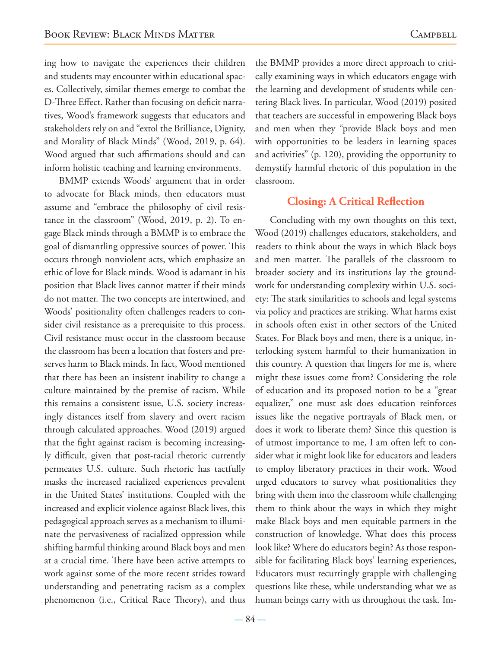ing how to navigate the experiences their children and students may encounter within educational spaces. Collectively, similar themes emerge to combat the D-Three Effect. Rather than focusing on deficit narratives, Wood's framework suggests that educators and stakeholders rely on and "extol the Brilliance, Dignity, and Morality of Black Minds" (Wood, 2019, p. 64). Wood argued that such affirmations should and can inform holistic teaching and learning environments.

BMMP extends Woods' argument that in order to advocate for Black minds, then educators must assume and "embrace the philosophy of civil resistance in the classroom" (Wood, 2019, p. 2). To engage Black minds through a BMMP is to embrace the goal of dismantling oppressive sources of power. This occurs through nonviolent acts, which emphasize an ethic of love for Black minds. Wood is adamant in his position that Black lives cannot matter if their minds do not matter. The two concepts are intertwined, and Woods' positionality often challenges readers to consider civil resistance as a prerequisite to this process. Civil resistance must occur in the classroom because the classroom has been a location that fosters and preserves harm to Black minds. In fact, Wood mentioned that there has been an insistent inability to change a culture maintained by the premise of racism. While this remains a consistent issue, U.S. society increasingly distances itself from slavery and overt racism through calculated approaches. Wood (2019) argued that the fight against racism is becoming increasingly difficult, given that post-racial rhetoric currently permeates U.S. culture. Such rhetoric has tactfully masks the increased racialized experiences prevalent in the United States' institutions. Coupled with the increased and explicit violence against Black lives, this pedagogical approach serves as a mechanism to illuminate the pervasiveness of racialized oppression while shifting harmful thinking around Black boys and men at a crucial time. There have been active attempts to work against some of the more recent strides toward understanding and penetrating racism as a complex phenomenon (i.e., Critical Race Theory), and thus

the BMMP provides a more direct approach to critically examining ways in which educators engage with the learning and development of students while centering Black lives. In particular, Wood (2019) posited that teachers are successful in empowering Black boys and men when they "provide Black boys and men with opportunities to be leaders in learning spaces and activities" (p. 120), providing the opportunity to demystify harmful rhetoric of this population in the classroom.

#### **Closing: A Critical Reflection**

Concluding with my own thoughts on this text, Wood (2019) challenges educators, stakeholders, and readers to think about the ways in which Black boys and men matter. The parallels of the classroom to broader society and its institutions lay the groundwork for understanding complexity within U.S. society: The stark similarities to schools and legal systems via policy and practices are striking. What harms exist in schools often exist in other sectors of the United States. For Black boys and men, there is a unique, interlocking system harmful to their humanization in this country. A question that lingers for me is, where might these issues come from? Considering the role of education and its proposed notion to be a "great equalizer," one must ask does education reinforces issues like the negative portrayals of Black men, or does it work to liberate them? Since this question is of utmost importance to me, I am often left to consider what it might look like for educators and leaders to employ liberatory practices in their work. Wood urged educators to survey what positionalities they bring with them into the classroom while challenging them to think about the ways in which they might make Black boys and men equitable partners in the construction of knowledge. What does this process look like? Where do educators begin? As those responsible for facilitating Black boys' learning experiences, Educators must recurringly grapple with challenging questions like these, while understanding what we as human beings carry with us throughout the task. Im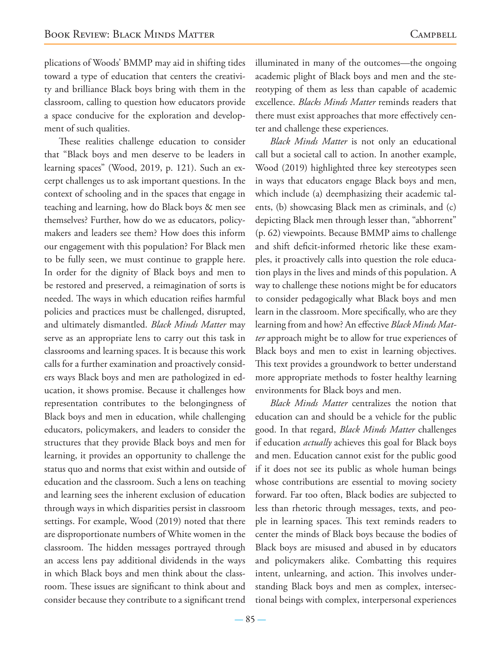plications of Woods' BMMP may aid in shifting tides toward a type of education that centers the creativity and brilliance Black boys bring with them in the classroom, calling to question how educators provide a space conducive for the exploration and development of such qualities.

These realities challenge education to consider that "Black boys and men deserve to be leaders in learning spaces" (Wood, 2019, p. 121). Such an excerpt challenges us to ask important questions. In the context of schooling and in the spaces that engage in teaching and learning, how do Black boys & men see themselves? Further, how do we as educators, policymakers and leaders see them? How does this inform our engagement with this population? For Black men to be fully seen, we must continue to grapple here. In order for the dignity of Black boys and men to be restored and preserved, a reimagination of sorts is needed. The ways in which education reifies harmful policies and practices must be challenged, disrupted, and ultimately dismantled. *Black Minds Matter* may serve as an appropriate lens to carry out this task in classrooms and learning spaces. It is because this work calls for a further examination and proactively considers ways Black boys and men are pathologized in education, it shows promise. Because it challenges how representation contributes to the belongingness of Black boys and men in education, while challenging educators, policymakers, and leaders to consider the structures that they provide Black boys and men for learning, it provides an opportunity to challenge the status quo and norms that exist within and outside of education and the classroom. Such a lens on teaching and learning sees the inherent exclusion of education through ways in which disparities persist in classroom settings. For example, Wood (2019) noted that there are disproportionate numbers of White women in the classroom. The hidden messages portrayed through an access lens pay additional dividends in the ways in which Black boys and men think about the classroom. These issues are significant to think about and consider because they contribute to a significant trend

illuminated in many of the outcomes—the ongoing academic plight of Black boys and men and the stereotyping of them as less than capable of academic excellence. *Blacks Minds Matter* reminds readers that there must exist approaches that more effectively center and challenge these experiences.

*Black Minds Matter* is not only an educational call but a societal call to action. In another example, Wood (2019) highlighted three key stereotypes seen in ways that educators engage Black boys and men, which include (a) deemphasizing their academic talents, (b) showcasing Black men as criminals, and (c) depicting Black men through lesser than, "abhorrent" (p. 62) viewpoints. Because BMMP aims to challenge and shift deficit-informed rhetoric like these examples, it proactively calls into question the role education plays in the lives and minds of this population. A way to challenge these notions might be for educators to consider pedagogically what Black boys and men learn in the classroom. More specifically, who are they learning from and how? An effective *Black Minds Matter* approach might be to allow for true experiences of Black boys and men to exist in learning objectives. This text provides a groundwork to better understand more appropriate methods to foster healthy learning environments for Black boys and men.

*Black Minds Matter* centralizes the notion that education can and should be a vehicle for the public good. In that regard, *Black Minds Matter* challenges if education *actually* achieves this goal for Black boys and men. Education cannot exist for the public good if it does not see its public as whole human beings whose contributions are essential to moving society forward. Far too often, Black bodies are subjected to less than rhetoric through messages, texts, and people in learning spaces. This text reminds readers to center the minds of Black boys because the bodies of Black boys are misused and abused in by educators and policymakers alike. Combatting this requires intent, unlearning, and action. This involves understanding Black boys and men as complex, intersectional beings with complex, interpersonal experiences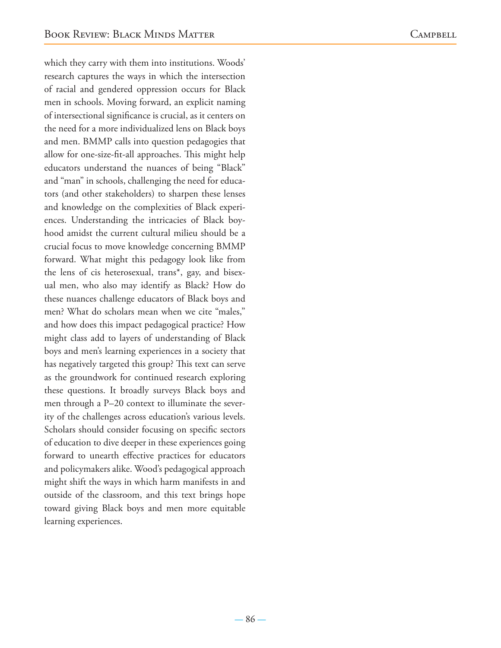which they carry with them into institutions. Woods' research captures the ways in which the intersection of racial and gendered oppression occurs for Black men in schools. Moving forward, an explicit naming of intersectional significance is crucial, as it centers on the need for a more individualized lens on Black boys and men. BMMP calls into question pedagogies that allow for one-size-fit-all approaches. This might help educators understand the nuances of being "Black" and "man" in schools, challenging the need for educators (and other stakeholders) to sharpen these lenses and knowledge on the complexities of Black experiences. Understanding the intricacies of Black boyhood amidst the current cultural milieu should be a crucial focus to move knowledge concerning BMMP forward. What might this pedagogy look like from the lens of cis heterosexual, trans\*, gay, and bisexual men, who also may identify as Black? How do these nuances challenge educators of Black boys and men? What do scholars mean when we cite "males," and how does this impact pedagogical practice? How might class add to layers of understanding of Black boys and men's learning experiences in a society that has negatively targeted this group? This text can serve as the groundwork for continued research exploring these questions. It broadly surveys Black boys and men through a P–20 context to illuminate the severity of the challenges across education's various levels. Scholars should consider focusing on specific sectors of education to dive deeper in these experiences going forward to unearth effective practices for educators and policymakers alike. Wood's pedagogical approach might shift the ways in which harm manifests in and outside of the classroom, and this text brings hope toward giving Black boys and men more equitable learning experiences.